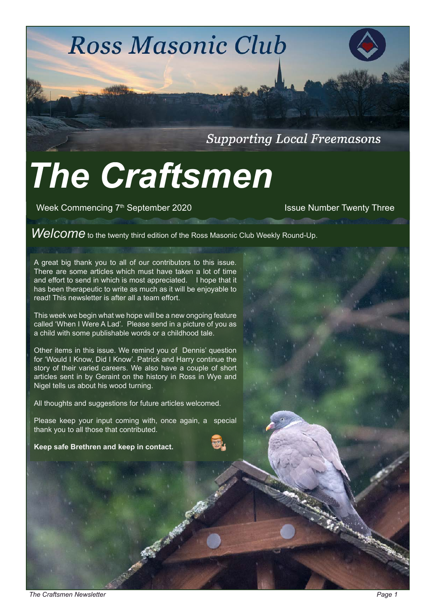**Ross Masonic Club** 

**Supporting Local Freemasons** 

# *The Craftsmen*

Week Commencing 7<sup>th</sup> September 2020 Issue Number Twenty Three

Welcome to the twenty third edition of the Ross Masonic Club Weekly Round-Up.

A great big thank you to all of our contributors to this issue. There are some articles which must have taken a lot of time and effort to send in which is most appreciated. I hope that it has been therapeutic to write as much as it will be enjoyable to read! This newsletter is after all a team effort.

This week we begin what we hope will be a new ongoing feature called 'When I Were A Lad'. Please send in a picture of you as a child with some publishable words or a childhood tale.

Other items in this issue. We remind you of Dennis' question for 'Would I Know, Did I Know'. Patrick and Harry continue the story of their varied careers. We also have a couple of short articles sent in by Geraint on the history in Ross in Wye and Nigel tells us about his wood turning.

All thoughts and suggestions for future articles welcomed.

Please keep your input coming with, once again, a special thank you to all those that contributed.

**Keep safe Brethren and keep in contact.**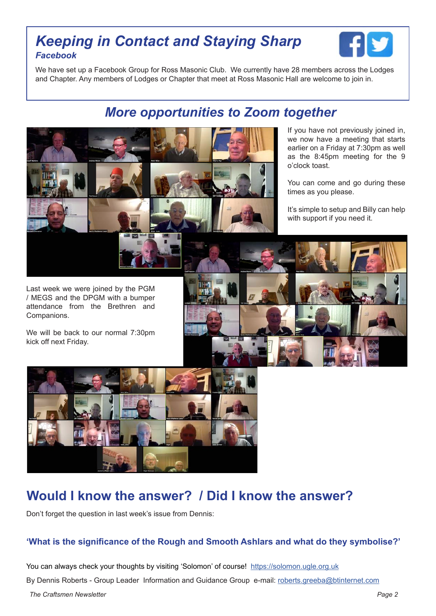### *Keeping in Contact and Staying Sharp Facebook*



We have set up a Facebook Group for Ross Masonic Club. We currently have 28 members across the Lodges and Chapter. Any members of Lodges or Chapter that meet at Ross Masonic Hall are welcome to join in.

## *More opportunities to Zoom together*



If you have not previously joined in, we now have a meeting that starts earlier on a Friday at 7:30pm as well as the 8:45pm meeting for the 9 o'clock toast.

You can come and go during these times as you please.

It's simple to setup and Billy can help with support if you need it.

Last week we were joined by the PGM / MEGS and the DPGM with a bumper attendance from the Brethren and Companions.

We will be back to our normal 7:30pm kick off next Friday.





# **Would I know the answer? / Did I know the answer?**

Don't forget the question in last week's issue from Dennis:

#### **'What is the significance of the Rough and Smooth Ashlars and what do they symbolise?'**

*The Craftsmen Newsletter Page 2*  You can always check your thoughts by visiting 'Solomon' of course! [https://solomon.ugle.org.uk](https://solomon.ugle.org.ukhttp://) By Dennis Roberts - Group Leader Information and Guidance Group e-mail: [roberts.greeba@btinternet.com](mailto:roberts.greeba%40btinternet.com?subject=Craftsmen%20Answer)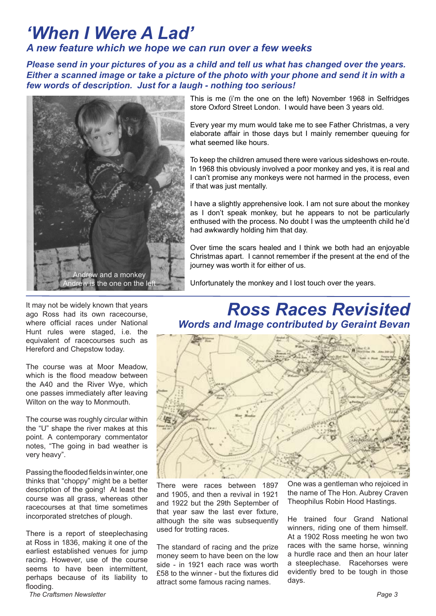# *'When I Were A Lad'*

#### *A new feature which we hope we can run over a few weeks*

*Please send in your pictures of you as a child and tell us what has changed over the years. Either a scanned image or take a picture of the photo with your phone and send it in with a few words of description. Just for a laugh - nothing too serious!*



It may not be widely known that years ago Ross had its own racecourse, where official races under National Hunt rules were staged, i.e. the equivalent of racecourses such as Hereford and Chepstow today.

The course was at Moor Meadow, which is the flood meadow between the A40 and the River Wye, which one passes immediately after leaving Wilton on the way to Monmouth.

The course was roughly circular within the "U" shape the river makes at this point. A contemporary commentator notes, "The going in bad weather is very heavy".

Passing the flooded fields in winter, one thinks that "choppy" might be a better description of the going! At least the course was all grass, whereas other racecourses at that time sometimes incorporated stretches of plough.

There is a report of steeplechasing at Ross in 1836, making it one of the earliest established venues for jump racing. However, use of the course seems to have been intermittent, perhaps because of its liability to flooding.

This is me (i'm the one on the left) November 1968 in Selfridges store Oxford Street London. I would have been 3 years old.

Every year my mum would take me to see Father Christmas, a very elaborate affair in those days but I mainly remember queuing for what seemed like hours.

To keep the children amused there were various sideshows en-route. In 1968 this obviously involved a poor monkey and yes, it is real and I can't promise any monkeys were not harmed in the process, even if that was just mentally.

I have a slightly apprehensive look. I am not sure about the monkey as I don't speak monkey, but he appears to not be particularly enthused with the process. No doubt I was the umpteenth child he'd had awkwardly holding him that day.

Over time the scars healed and I think we both had an enjoyable Christmas apart. I cannot remember if the present at the end of the journey was worth it for either of us.

Unfortunately the monkey and I lost touch over the years.

*Ross Races Revisited Words and Image contributed by Geraint Bevan*



There were races between 1897 and 1905, and then a revival in 1921 and 1922 but the 29th September of that year saw the last ever fixture, although the site was subsequently used for trotting races.

The standard of racing and the prize money seem to have been on the low side - in 1921 each race was worth £58 to the winner - but the fixtures did attract some famous racing names.

One was a gentleman who rejoiced in the name of The Hon. Aubrey Craven Theophilus Robin Hood Hastings.

He trained four Grand National winners, riding one of them himself. At a 1902 Ross meeting he won two races with the same horse, winning a hurdle race and then an hour later a steeplechase. Racehorses were evidently bred to be tough in those days.

**The Craftsmen Newsletter** *Page 3* **Page 3**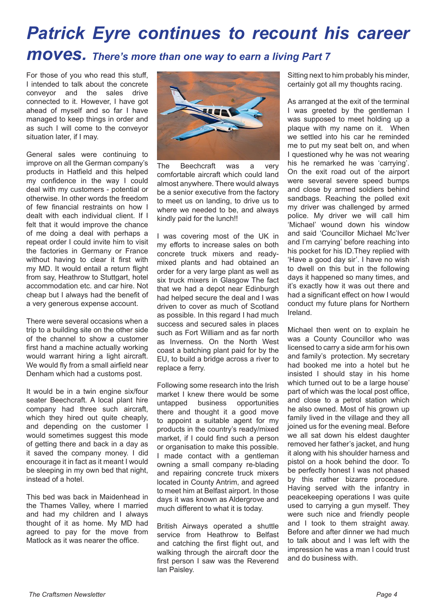# *Patrick Eyre continues to recount his career moves. There's more than one way to earn a living Part 7*

For those of you who read this stuff, I intended to talk about the concrete conveyor and the sales drive connected to it. However, I have got ahead of myself and so far I have managed to keep things in order and as such I will come to the conveyor situation later, if I may.

General sales were continuing to improve on all the German company's products in Hatfield and this helped my confidence in the way I could deal with my customers - potential or otherwise. In other words the freedom of few financial restraints on how I dealt with each individual client. If I felt that it would improve the chance of me doing a deal with perhaps a repeat order I could invite him to visit the factories in Germany or France without having to clear it first with my MD. It would entail a return flight from say. Heathrow to Stuttgart, hotel accommodation etc. and car hire. Not cheap but I always had the benefit of a very generous expense account.

There were several occasions when a trip to a building site on the other side of the channel to show a customer first hand a machine actually working would warrant hiring a light aircraft. We would fly from a small airfield near Denham which had a customs post.

It would be in a twin engine six/four seater Beechcraft. A local plant hire company had three such aircraft, which they hired out quite cheaply, and depending on the customer I would sometimes suggest this mode of getting there and back in a day as it saved the company money. I did encourage it in fact as it meant I would be sleeping in my own bed that night, instead of a hotel.

This bed was back in Maidenhead in the Thames Valley, where I married and had my children and I always thought of it as home. My MD had agreed to pay for the move from Matlock as it was nearer the office.



The Beechcraft was a very comfortable aircraft which could land almost anywhere. There would always be a senior executive from the factory to meet us on landing, to drive us to where we needed to be, and always kindly paid for the lunch!!

I was covering most of the UK in my efforts to increase sales on both concrete truck mixers and readymixed plants and had obtained an order for a very large plant as well as six truck mixers in Glasgow The fact that we had a depot near Edinburgh had helped secure the deal and I was driven to cover as much of Scotland as possible. In this regard I had much success and secured sales in places such as Fort William and as far north as Inverness. On the North West coast a batching plant paid for by the EU, to build a bridge across a river to replace a ferry.

Following some research into the Irish market I knew there would be some untapped business opportunities there and thought it a good move to appoint a suitable agent for my products in the country's ready/mixed market, if I could find such a person or organisation to make this possible. I made contact with a gentleman owning a small company re-blading and repairing concrete truck mixers located in County Antrim, and agreed to meet him at Belfast airport. In those days it was known as Aldergrove and much different to what it is today.

British Airways operated a shuttle service from Heathrow to Belfast and catching the first flight out, and walking through the aircraft door the first person I saw was the Reverend Ian Paisley.

Sitting next to him probably his minder, certainly got all my thoughts racing.

As arranged at the exit of the terminal I was greeted by the gentleman I was supposed to meet holding up a plaque with my name on it. When we settled into his car he reminded me to put my seat belt on, and when I questioned why he was not wearing his he remarked he was 'carrying'. On the exit road out of the airport were several severe speed bumps and close by armed soldiers behind sandbags. Reaching the polled exit my driver was challenged by armed police. My driver we will call him 'Michael' wound down his window and said 'Councillor Michael Mc'Iver and I'm carrying' before reaching into his pocket for his ID.They replied with 'Have a good day sir'. I have no wish to dwell on this but in the following days it happened so many times, and it's exactly how it was out there and had a significant effect on how I would conduct my future plans for Northern Ireland.

Michael then went on to explain he was a County Councillor who was licensed to carry a side arm for his own and family's protection. My secretary had booked me into a hotel but he insisted I should stay in his home which turned out to be a large house' part of which was the local post office, and close to a petrol station which he also owned. Most of his grown up family lived in the village and they all joined us for the evening meal. Before we all sat down his eldest daughter removed her father's jacket, and hung it along with his shoulder harness and pistol on a hook behind the door. To be perfectly honest I was not phased by this rather bizarre procedure. Having served with the infantry in peacekeeping operations I was quite used to carrying a gun myself. They were such nice and friendly people and I took to them straight away. Before and after dinner we had much to talk about and I was left with the impression he was a man I could trust and do business with.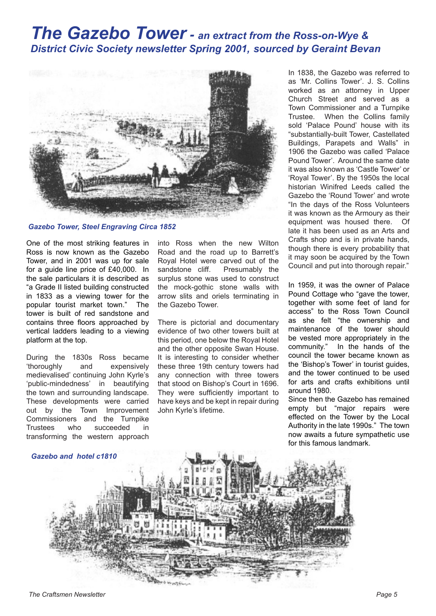## *The Gazebo Tower - an extract from the Ross-on-Wye & District Civic Society newsletter Spring 2001, sourced by Geraint Bevan*



*Gazebo Tower, Steel Engraving Circa 1852*

One of the most striking features in Ross is now known as the Gazebo Tower, and in 2001 was up for sale for a guide line price of £40,000. In the sale particulars it is described as "a Grade II listed building constructed in 1833 as a viewing tower for the popular tourist market town." The tower is built of red sandstone and contains three floors approached by vertical ladders leading to a viewing platform at the top.

During the 1830s Ross became 'thoroughly and expensively medievalised' continuing John Kyrle's 'public-mindedness' in beautifying the town and surrounding landscape. These developments were carried out by the Town Improvement Commissioners and the Turnpike Trustees who succeeded in transforming the western approach

into Ross when the new Wilton Road and the road up to Barrett's Royal Hotel were carved out of the sandstone cliff. Presumably the surplus stone was used to construct the mock-gothic stone walls with arrow slits and oriels terminating in the Gazebo Tower.

There is pictorial and documentary evidence of two other towers built at this period, one below the Royal Hotel and the other opposite Swan House. It is interesting to consider whether these three 19th century towers had any connection with three towers that stood on Bishop's Court in 1696. They were sufficiently important to have keys and be kept in repair during John Kyrle's lifetime.

In 1838, the Gazebo was referred to as 'Mr. Collins Tower'. J. S. Collins worked as an attorney in Upper Church Street and served as a Town Commissioner and a Turnpike Trustee. When the Collins family sold 'Palace Pound' house with its "substantially-built Tower, Castellated Buildings, Parapets and Walls" in 1906 the Gazebo was called 'Palace Pound Tower'. Around the same date it was also known as 'Castle Tower' or 'Royal Tower'. By the 1950s the local historian Winifred Leeds called the Gazebo the 'Round Tower' and wrote "In the days of the Ross Volunteers it was known as the Armoury as their equipment was housed there. Of late it has been used as an Arts and Crafts shop and is in private hands, though there is every probability that it may soon be acquired by the Town Council and put into thorough repair."

In 1959, it was the owner of Palace Pound Cottage who "gave the tower, together with some feet of land for access" to the Ross Town Council as she felt "the ownership and maintenance of the tower should be vested more appropriately in the community." In the hands of the council the tower became known as the 'Bishop's Tower' in tourist guides, and the tower continued to be used for arts and crafts exhibitions until around 1980.

Since then the Gazebo has remained empty but "major repairs were effected on the Tower by the Local Authority in the late 1990s." The town now awaits a future sympathetic use for this famous landmark.

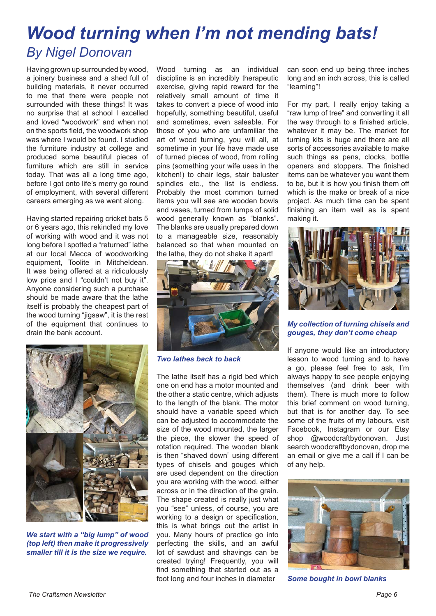# *Wood turning when I'm not mending bats! By Nigel Donovan*

Having grown up surrounded by wood, a joinery business and a shed full of building materials, it never occurred to me that there were people not surrounded with these things! It was no surprise that at school I excelled and loved "woodwork" and when not on the sports field, the woodwork shop was where I would be found. I studied the furniture industry at college and produced some beautiful pieces of furniture which are still in service today. That was all a long time ago, before I got onto life's merry go round of employment, with several different careers emerging as we went along.

Having started repairing cricket bats 5 or 6 years ago, this rekindled my love of working with wood and it was not long before I spotted a "returned" lathe at our local Mecca of woodworking equipment, Toolite in Mitcheldean. It was being offered at a ridiculously low price and I "couldn't not buy it". Anyone considering such a purchase should be made aware that the lathe itself is probably the cheapest part of the wood turning "jigsaw", it is the rest of the equipment that continues to drain the bank account.



*We start with a "big lump" of wood (top left) then make it progressively smaller till it is the size we require.*

Wood turning as an individual discipline is an incredibly therapeutic exercise, giving rapid reward for the relatively small amount of time it takes to convert a piece of wood into hopefully, something beautiful, useful and sometimes, even saleable. For those of you who are unfamiliar the art of wood turning, you will all, at sometime in your life have made use of turned pieces of wood, from rolling pins (something your wife uses in the kitchen!) to chair legs, stair baluster spindles etc., the list is endless. Probably the most common turned items you will see are wooden bowls and vases, turned from lumps of solid wood generally known as "blanks". The blanks are usually prepared down to a manageable size, reasonably balanced so that when mounted on the lathe, they do not shake it apart!



*Two lathes back to back*

The lathe itself has a rigid bed which one on end has a motor mounted and the other a static centre, which adjusts to the length of the blank. The motor should have a variable speed which can be adjusted to accommodate the size of the wood mounted, the larger the piece, the slower the speed of rotation required. The wooden blank is then "shaved down" using different types of chisels and gouges which are used dependent on the direction you are working with the wood, either across or in the direction of the grain. The shape created is really just what you "see" unless, of course, you are working to a design or specification. this is what brings out the artist in you. Many hours of practice go into perfecting the skills, and an awful lot of sawdust and shavings can be created trying! Frequently, you will find something that started out as a foot long and four inches in diameter

can soon end up being three inches long and an inch across, this is called "learning"!

For my part, I really enjoy taking a "raw lump of tree" and converting it all the way through to a finished article, whatever it may be. The market for turning kits is huge and there are all sorts of accessories available to make such things as pens, clocks, bottle openers and stoppers. The finished items can be whatever you want them to be, but it is how you finish them off which is the make or break of a nice project. As much time can be spent finishing an item well as is spent making it.



*My collection of turning chisels and gouges, they don't come cheap*

If anyone would like an introductory lesson to wood turning and to have a go, please feel free to ask, I'm always happy to see people enjoying themselves (and drink beer with them). There is much more to follow this brief comment on wood turning, but that is for another day. To see some of the fruits of my labours, visit Facebook, Instagram or our Etsy shop @woodcraftbydonovan. Just search woodcraftbydonovan, drop me an email or give me a call if I can be of any help.



*Some bought in bowl blanks*